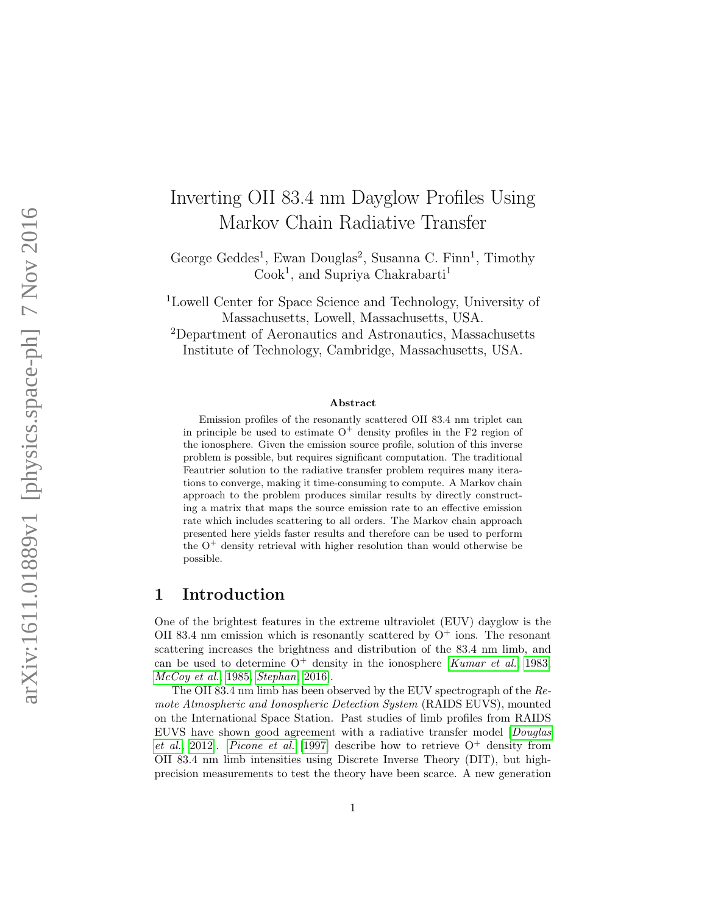# Inverting OII 83.4 nm Dayglow Profiles Using Markov Chain Radiative Transfer

George Geddes<sup>1</sup>, Ewan Douglas<sup>2</sup>, Susanna C. Finn<sup>1</sup>, Timothy Cook<sup>1</sup>, and Supriya Chakrabarti<sup>1</sup>

<sup>1</sup>Lowell Center for Space Science and Technology, University of Massachusetts, Lowell, Massachusetts, USA.

<sup>2</sup>Department of Aeronautics and Astronautics, Massachusetts Institute of Technology, Cambridge, Massachusetts, USA.

#### Abstract

Emission profiles of the resonantly scattered OII 83.4 nm triplet can in principle be used to estimate  $O^+$  density profiles in the F2 region of the ionosphere. Given the emission source profile, solution of this inverse problem is possible, but requires significant computation. The traditional Feautrier solution to the radiative transfer problem requires many iterations to converge, making it time-consuming to compute. A Markov chain approach to the problem produces similar results by directly constructing a matrix that maps the source emission rate to an effective emission rate which includes scattering to all orders. The Markov chain approach presented here yields faster results and therefore can be used to perform the  $O<sup>+</sup>$  density retrieval with higher resolution than would otherwise be possible.

## 1 Introduction

One of the brightest features in the extreme ultraviolet (EUV) dayglow is the OII 83.4 nm emission which is resonantly scattered by  $O<sup>+</sup>$  ions. The resonant scattering increases the brightness and distribution of the 83.4 nm limb, and can be used to determine  $O^+$  density in the ionosphere [[Kumar et al.](#page-12-0), [1983,](#page-12-0) [McCoy et al.](#page-12-1), [1985,](#page-12-1) [Stephan](#page-12-2), [2016\]](#page-12-2).

The OII 83.4 nm limb has been observed by the EUV spectrograph of the Remote Atmospheric and Ionospheric Detection System (RAIDS EUVS), mounted on the International Space Station. Past studies of limb profiles from RAIDS EUVS have shown good agreement with a radiative transfer model [[Douglas](#page-11-0) [et al.](#page-11-0), [2012\]](#page-11-0). [Picone et al.](#page-12-3) [\[1997\]](#page-12-3) describe how to retrieve  $O^+$  density from OII 83.4 nm limb intensities using Discrete Inverse Theory (DIT), but highprecision measurements to test the theory have been scarce. A new generation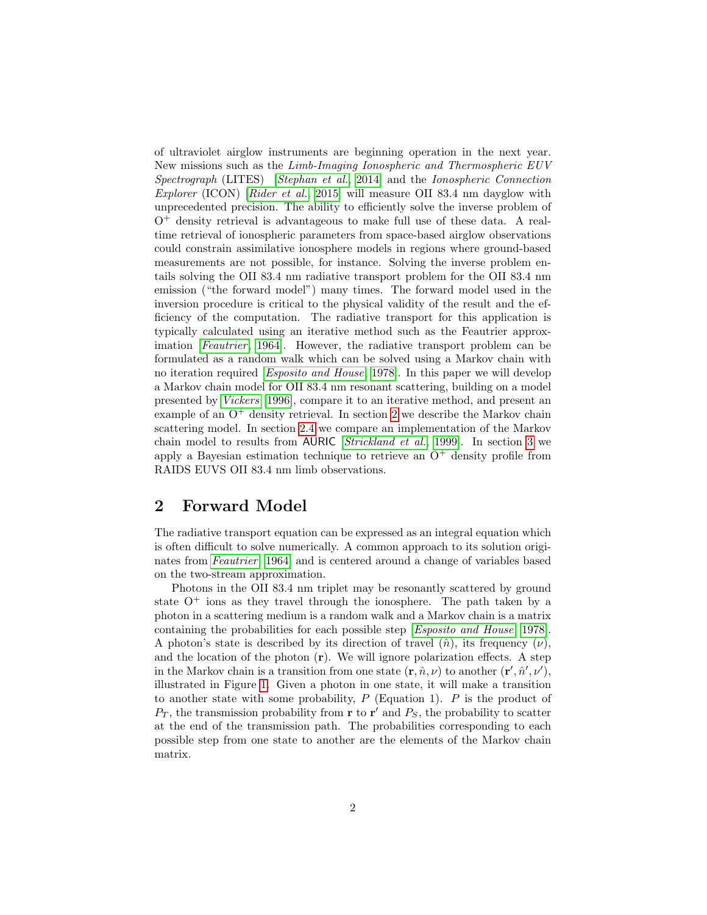of ultraviolet airglow instruments are beginning operation in the next year. New missions such as the Limb-Imaging Ionospheric and Thermospheric EUV Spectrograph (LITES) [[Stephan et al.](#page-13-0), [2014\]](#page-13-0) and the Ionospheric Connection Explorer (ICON) [[Rider et al.](#page-12-4), [2015\]](#page-12-4) will measure OII 83.4 nm dayglow with unprecedented precision. The ability to efficiently solve the inverse problem of  $O^+$  density retrieval is advantageous to make full use of these data. A realtime retrieval of ionospheric parameters from space-based airglow observations could constrain assimilative ionosphere models in regions where ground-based measurements are not possible, for instance. Solving the inverse problem entails solving the OII 83.4 nm radiative transport problem for the OII 83.4 nm emission ("the forward model") many times. The forward model used in the inversion procedure is critical to the physical validity of the result and the efficiency of the computation. The radiative transport for this application is typically calculated using an iterative method such as the Feautrier approx-imation [[Feautrier](#page-11-1), [1964\]](#page-11-1). However, the radiative transport problem can be formulated as a random walk which can be solved using a Markov chain with no iteration required [[Esposito and House](#page-11-2), [1978\]](#page-11-2). In this paper we will develop a Markov chain model for OII 83.4 nm resonant scattering, building on a model presented by [Vickers](#page-13-1) [\[1996\]](#page-13-1), compare it to an iterative method, and present an example of an  $O^+$  density retrieval. In section [2](#page-1-0) we describe the Markov chain scattering model. In section [2.4](#page-5-0) we compare an implementation of the Markov chain model to results from AURIC [[Strickland et al.](#page-13-2), [1999\]](#page-13-2). In section [3](#page-5-1) we apply a Bayesian estimation technique to retrieve an  $O^+$  density profile from RAIDS EUVS OII 83.4 nm limb observations.

## <span id="page-1-0"></span>2 Forward Model

The radiative transport equation can be expressed as an integral equation which is often difficult to solve numerically. A common approach to its solution originates from [Feautrier](#page-11-1) [\[1964\]](#page-11-1) and is centered around a change of variables based on the two-stream approximation.

Photons in the OII 83.4 nm triplet may be resonantly scattered by ground state  $O^+$  ions as they travel through the ionosphere. The path taken by a photon in a scattering medium is a random walk and a Markov chain is a matrix containing the probabilities for each possible step [[Esposito and House](#page-11-2), [1978\]](#page-11-2). A photon's state is described by its direction of travel  $(\hat{n})$ , its frequency  $(\nu)$ , and the location of the photon  $(r)$ . We will ignore polarization effects. A step in the Markov chain is a transition from one state  $(\mathbf{r}, \hat{n}, \nu)$  to another  $(\mathbf{r}', \hat{n}', \nu')$ , illustrated in Figure [1.](#page-13-3) Given a photon in one state, it will make a transition to another state with some probability,  $P$  (Equation 1).  $P$  is the product of  $P_T$ , the transmission probability from **r** to **r'** and  $P_S$ , the probability to scatter at the end of the transmission path. The probabilities corresponding to each possible step from one state to another are the elements of the Markov chain matrix.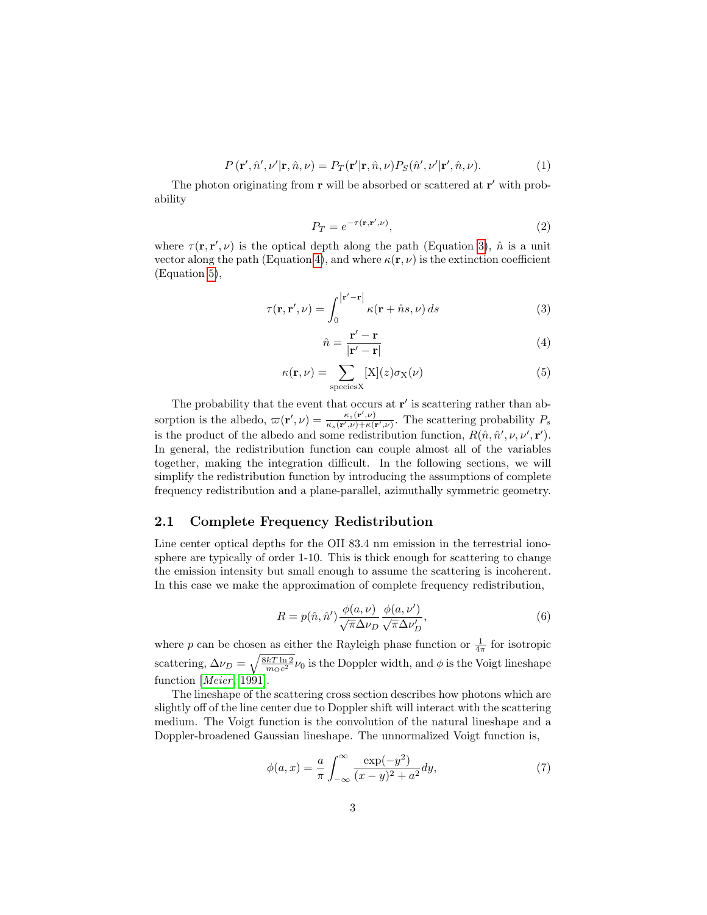$$
P(\mathbf{r}', \hat{n}', \nu' | \mathbf{r}, \hat{n}, \nu) = P_T(\mathbf{r}' | \mathbf{r}, \hat{n}, \nu) P_S(\hat{n}', \nu' | \mathbf{r}', \hat{n}, \nu).
$$
(1)

The photon originating from  $\bf{r}$  will be absorbed or scattered at  $\bf{r}'$  with probability

$$
P_T = e^{-\tau(\mathbf{r}, \mathbf{r}', \nu)},\tag{2}
$$

where  $\tau(\mathbf{r}, \mathbf{r}', \nu)$  is the optical depth along the path (Equation [3\)](#page-2-0),  $\hat{n}$  is a unit vector along the path (Equation [4\)](#page-2-1), and where  $\kappa(\mathbf{r}, \nu)$  is the extinction coefficient (Equation [5\)](#page-2-2),

<span id="page-2-0"></span>
$$
\tau(\mathbf{r}, \mathbf{r}', \nu) = \int_0^{|\mathbf{r}' - \mathbf{r}|} \kappa(\mathbf{r} + \hat{n}s, \nu) ds \tag{3}
$$

<span id="page-2-1"></span>
$$
\hat{n} = \frac{\mathbf{r}' - \mathbf{r}}{|\mathbf{r}' - \mathbf{r}|} \tag{4}
$$

<span id="page-2-2"></span>
$$
\kappa(\mathbf{r}, \nu) = \sum_{\text{species}X} [X](z)\sigma_X(\nu) \tag{5}
$$

The probability that the event that occurs at  $\mathbf{r}'$  is scattering rather than absorption is the albedo,  $\varpi(\mathbf{r}', \nu) = \frac{\kappa_s(\mathbf{r}', \nu)}{\kappa_s(\mathbf{r}', \nu) + \kappa(s)}$  $\frac{\kappa_s(\mathbf{r},\nu)}{\kappa_s(\mathbf{r}',\nu)+\kappa(\mathbf{r}',\nu)}$ . The scattering probability  $P_s$ is the product of the albedo and some redistribution function,  $R(\hat{n}, \hat{n}', \nu, \nu', \mathbf{r}')$ . In general, the redistribution function can couple almost all of the variables together, making the integration difficult. In the following sections, we will simplify the redistribution function by introducing the assumptions of complete frequency redistribution and a plane-parallel, azimuthally symmetric geometry.

#### 2.1 Complete Frequency Redistribution

Line center optical depths for the OII 83.4 nm emission in the terrestrial ionosphere are typically of order 1-10. This is thick enough for scattering to change the emission intensity but small enough to assume the scattering is incoherent. In this case we make the approximation of complete frequency redistribution,

$$
R = p(\hat{n}, \hat{n}') \frac{\phi(a, \nu)}{\sqrt{\pi} \Delta \nu_D} \frac{\phi(a, \nu')}{\sqrt{\pi} \Delta \nu'_D},
$$
\n(6)

where p can be chosen as either the Rayleigh phase function or  $\frac{1}{4\pi}$  for isotropic scattering,  $\Delta \nu_D = \sqrt{\frac{8kT \ln 2}{m_C c^2}} \nu_0$  is the Doppler width, and  $\phi$  is the Voigt lineshape function  $[Meier, 1991]$  $[Meier, 1991]$  $[Meier, 1991]$  $[Meier, 1991]$ .

The lineshape of the scattering cross section describes how photons which are slightly off of the line center due to Doppler shift will interact with the scattering medium. The Voigt function is the convolution of the natural lineshape and a Doppler-broadened Gaussian lineshape. The unnormalized Voigt function is,

$$
\phi(a,x) = \frac{a}{\pi} \int_{-\infty}^{\infty} \frac{\exp(-y^2)}{(x-y)^2 + a^2} dy,
$$
\n(7)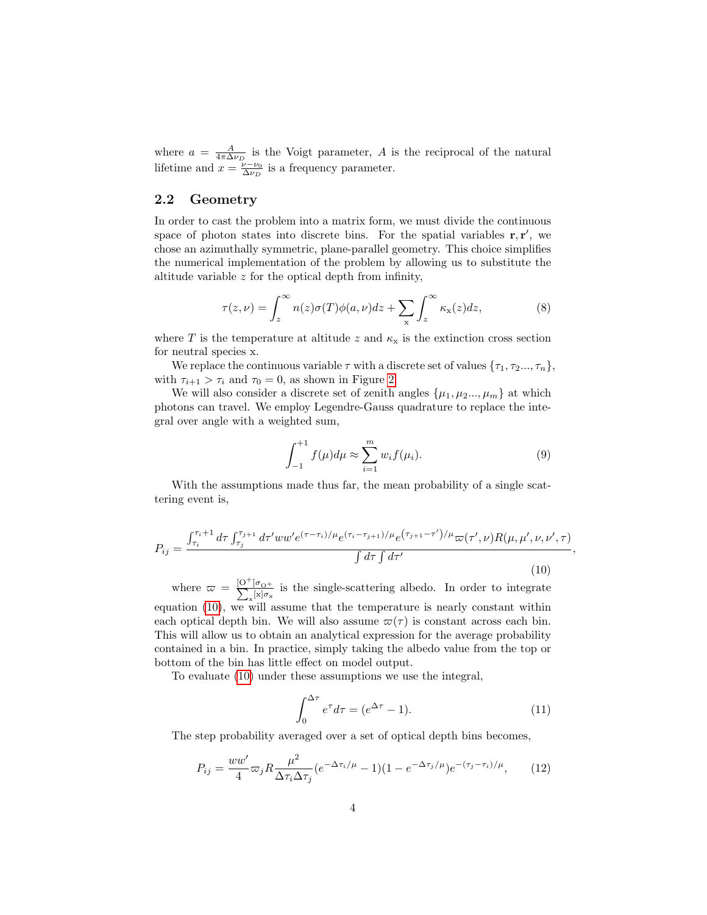where  $a = \frac{A}{4\pi\Delta\nu_D}$  is the Voigt parameter, A is the reciprocal of the natural lifetime and  $x = \frac{\nu - \nu_0}{\Delta \nu_D}$  is a frequency parameter.

## 2.2 Geometry

In order to cast the problem into a matrix form, we must divide the continuous space of photon states into discrete bins. For the spatial variables  $\mathbf{r}, \mathbf{r}'$ , we chose an azimuthally symmetric, plane-parallel geometry. This choice simplifies the numerical implementation of the problem by allowing us to substitute the altitude variable z for the optical depth from infinity,

$$
\tau(z,\nu) = \int_z^{\infty} n(z)\sigma(T)\phi(a,\nu)dz + \sum_{\mathbf{x}} \int_z^{\infty} \kappa_{\mathbf{x}}(z)dz,\tag{8}
$$

where T is the temperature at altitude z and  $\kappa_{\rm x}$  is the extinction cross section for neutral species x.

We replace the continuous variable  $\tau$  with a discrete set of values  $\{\tau_1, \tau_2...\tau_n\}$ , with  $\tau_{i+1} > \tau_i$  and  $\tau_0 = 0$ , as shown in Figure [2.](#page-14-0)

We will also consider a discrete set of zenith angles  $\{\mu_1, \mu_2...\mu_m\}$  at which photons can travel. We employ Legendre-Gauss quadrature to replace the integral over angle with a weighted sum,

$$
\int_{-1}^{+1} f(\mu) d\mu \approx \sum_{i=1}^{m} w_i f(\mu_i).
$$
 (9)

,

With the assumptions made thus far, the mean probability of a single scattering event is,

<span id="page-3-0"></span>
$$
P_{ij} = \frac{\int_{\tau_i}^{\tau_i+1} d\tau \int_{\tau_j}^{\tau_{j+1}} d\tau' w w' e^{(\tau-\tau_i)/\mu} e^{(\tau_i-\tau_{j+1})/\mu} e^{(\tau_{j+1}-\tau')/\mu} \varpi(\tau',\nu) R(\mu,\mu',\nu,\nu',\tau)}{\int d\tau \int d\tau'} \tag{10}
$$

where  $\varpi = \frac{[O^+]}{\nabla}$  $\sum$  $]\sigma_{\rm O^+}$  $\frac{10}{\alpha}$  is the single-scattering albedo. In order to integrate equation [\(10\)](#page-3-0), we will assume that the temperature is nearly constant within each optical depth bin. We will also assume  $\varpi(\tau)$  is constant across each bin. This will allow us to obtain an analytical expression for the average probability contained in a bin. In practice, simply taking the albedo value from the top or bottom of the bin has little effect on model output.

To evaluate [\(10\)](#page-3-0) under these assumptions we use the integral,

$$
\int_0^{\Delta \tau} e^{\tau} d\tau = (e^{\Delta \tau} - 1). \tag{11}
$$

The step probability averaged over a set of optical depth bins becomes,

<span id="page-3-1"></span>
$$
P_{ij} = \frac{ww'}{4} \varpi_j R \frac{\mu^2}{\Delta \tau_i \Delta \tau_j} (e^{-\Delta \tau_i/\mu} - 1)(1 - e^{-\Delta \tau_j/\mu}) e^{-(\tau_j - \tau_i)/\mu}, \qquad (12)
$$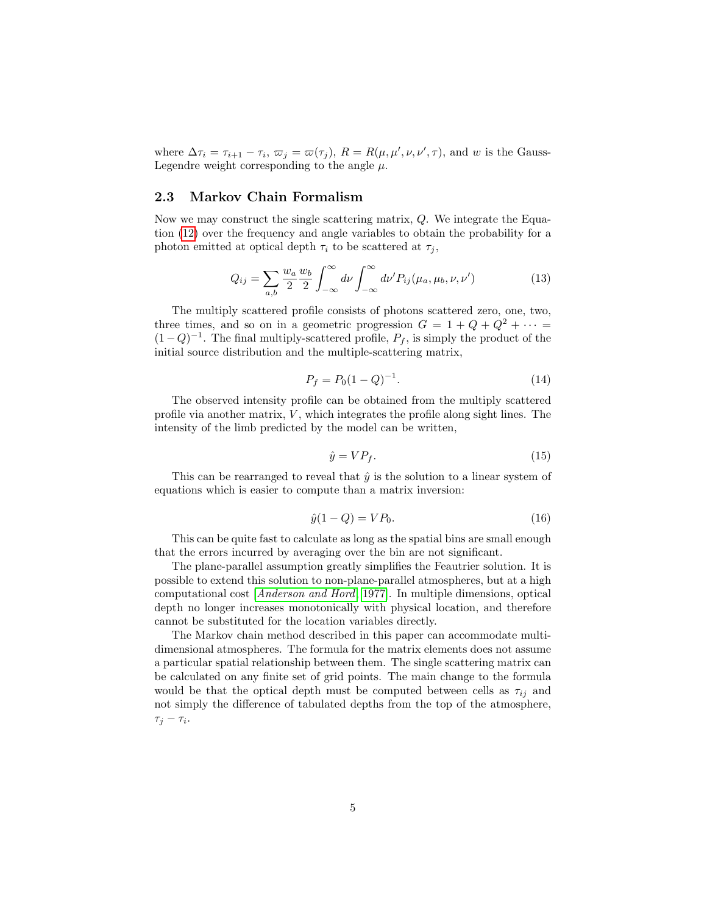where  $\Delta \tau_i = \tau_{i+1} - \tau_i$ ,  $\varpi_j = \varpi(\tau_j)$ ,  $R = R(\mu, \mu', \nu, \nu', \tau)$ , and w is the Gauss-Legendre weight corresponding to the angle  $\mu$ .

## 2.3 Markov Chain Formalism

Now we may construct the single scattering matrix, Q. We integrate the Equation [\(12\)](#page-3-1) over the frequency and angle variables to obtain the probability for a photon emitted at optical depth  $\tau_i$  to be scattered at  $\tau_j$ ,

$$
Q_{ij} = \sum_{a,b} \frac{w_a}{2} \frac{w_b}{2} \int_{-\infty}^{\infty} d\nu \int_{-\infty}^{\infty} d\nu' P_{ij}(\mu_a, \mu_b, \nu, \nu') \tag{13}
$$

The multiply scattered profile consists of photons scattered zero, one, two, three times, and so on in a geometric progression  $G = 1 + Q + Q^2 + \cdots$  $(1-Q)^{-1}$ . The final multiply-scattered profile,  $P_f$ , is simply the product of the initial source distribution and the multiple-scattering matrix,

$$
P_f = P_0 (1 - Q)^{-1}.
$$
\n(14)

The observed intensity profile can be obtained from the multiply scattered profile via another matrix,  $V$ , which integrates the profile along sight lines. The intensity of the limb predicted by the model can be written,

$$
\hat{y} = VP_f. \tag{15}
$$

This can be rearranged to reveal that  $\hat{y}$  is the solution to a linear system of equations which is easier to compute than a matrix inversion:

$$
\hat{y}(1-Q) = VP_0. \tag{16}
$$

This can be quite fast to calculate as long as the spatial bins are small enough that the errors incurred by averaging over the bin are not significant.

The plane-parallel assumption greatly simplifies the Feautrier solution. It is possible to extend this solution to non-plane-parallel atmospheres, but at a high computational cost [[Anderson and Hord](#page-11-3), [1977\]](#page-11-3). In multiple dimensions, optical depth no longer increases monotonically with physical location, and therefore cannot be substituted for the location variables directly.

The Markov chain method described in this paper can accommodate multidimensional atmospheres. The formula for the matrix elements does not assume a particular spatial relationship between them. The single scattering matrix can be calculated on any finite set of grid points. The main change to the formula would be that the optical depth must be computed between cells as  $\tau_{ij}$  and not simply the difference of tabulated depths from the top of the atmosphere,  $\tau_j - \tau_i$ .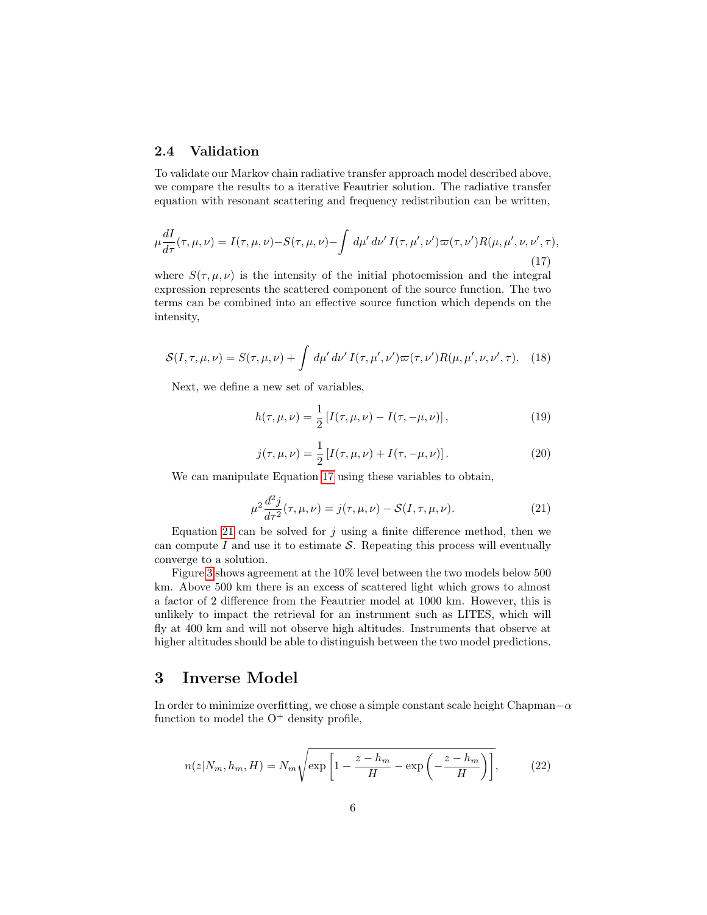## <span id="page-5-0"></span>2.4 Validation

To validate our Markov chain radiative transfer approach model described above, we compare the results to a iterative Feautrier solution. The radiative transfer equation with resonant scattering and frequency redistribution can be written,

<span id="page-5-2"></span>
$$
\mu \frac{dI}{d\tau}(\tau, \mu, \nu) = I(\tau, \mu, \nu) - S(\tau, \mu, \nu) - \int d\mu' d\nu' I(\tau, \mu', \nu') \varpi(\tau, \nu') R(\mu, \mu', \nu, \nu', \tau),
$$
\n(17)

where  $S(\tau, \mu, \nu)$  is the intensity of the initial photoemission and the integral expression represents the scattered component of the source function. The two terms can be combined into an effective source function which depends on the intensity,

$$
S(I, \tau, \mu, \nu) = S(\tau, \mu, \nu) + \int d\mu' d\nu' I(\tau, \mu', \nu') \varpi(\tau, \nu') R(\mu, \mu', \nu, \nu', \tau). \tag{18}
$$

Next, we define a new set of variables,

$$
h(\tau, \mu, \nu) = \frac{1}{2} \left[ I(\tau, \mu, \nu) - I(\tau, -\mu, \nu) \right],
$$
\n(19)

$$
j(\tau, \mu, \nu) = \frac{1}{2} [I(\tau, \mu, \nu) + I(\tau, -\mu, \nu)].
$$
 (20)

We can manipulate Equation [17](#page-5-2) using these variables to obtain,

<span id="page-5-3"></span>
$$
\mu^2 \frac{d^2 j}{d\tau^2}(\tau, \mu, \nu) = j(\tau, \mu, \nu) - \mathcal{S}(I, \tau, \mu, \nu).
$$
 (21)

Equation [21](#page-5-3) can be solved for  $j$  using a finite difference method, then we can compute  $I$  and use it to estimate  $S$ . Repeating this process will eventually converge to a solution.

Figure [3](#page-15-0) shows agreement at the 10% level between the two models below 500 km. Above 500 km there is an excess of scattered light which grows to almost a factor of 2 difference from the Feautrier model at 1000 km. However, this is unlikely to impact the retrieval for an instrument such as LITES, which will fly at 400 km and will not observe high altitudes. Instruments that observe at higher altitudes should be able to distinguish between the two model predictions.

## <span id="page-5-1"></span>3 Inverse Model

In order to minimize overfitting, we chose a simple constant scale height Chapman $-\alpha$ function to model the  $O^+$  density profile,

$$
n(z|N_m, h_m, H) = N_m \sqrt{\exp\left[1 - \frac{z - h_m}{H} - \exp\left(-\frac{z - h_m}{H}\right)\right]},
$$
 (22)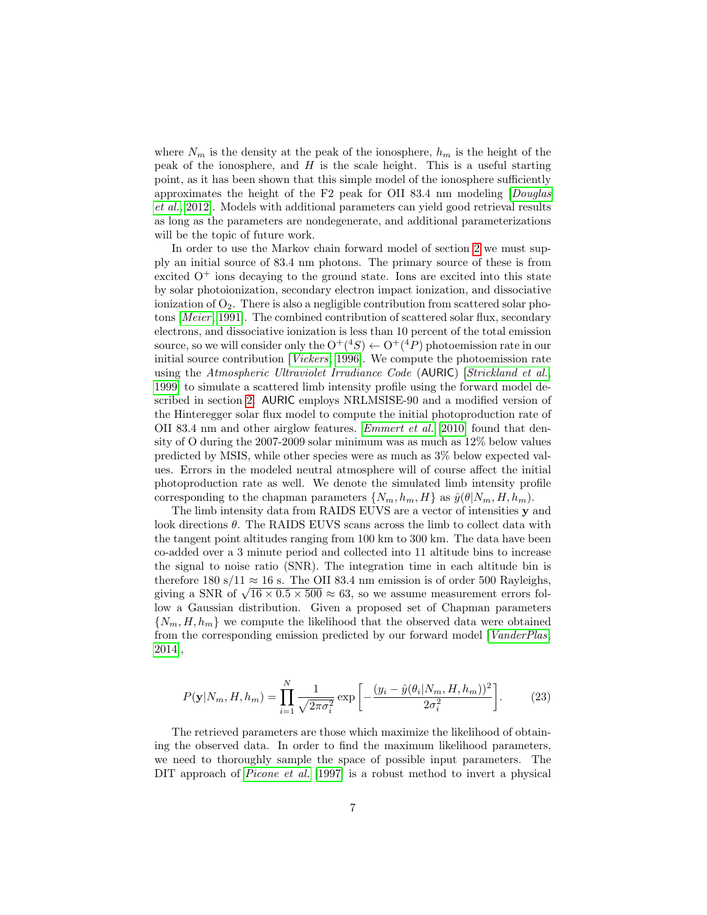where  $N_m$  is the density at the peak of the ionosphere,  $h_m$  is the height of the peak of the ionosphere, and  $H$  is the scale height. This is a useful starting point, as it has been shown that this simple model of the ionosphere sufficiently approximates the height of the F2 peak for OII 83.4 nm modeling [[Douglas](#page-11-0) [et al.](#page-11-0), [2012\]](#page-11-0). Models with additional parameters can yield good retrieval results as long as the parameters are nondegenerate, and additional parameterizations will be the topic of future work.

In order to use the Markov chain forward model of section [2](#page-1-0) we must supply an initial source of 83.4 nm photons. The primary source of these is from excited  $O<sup>+</sup>$  ions decaying to the ground state. Ions are excited into this state by solar photoionization, secondary electron impact ionization, and dissociative ionization of  $O_2$ . There is also a negligible contribution from scattered solar pho-tons [[Meier](#page-12-5), [1991\]](#page-12-5). The combined contribution of scattered solar flux, secondary electrons, and dissociative ionization is less than 10 percent of the total emission source, so we will consider only the  $O^+(^4S) \leftarrow O^+(^4P)$  photoemission rate in our initial source contribution [[Vickers](#page-13-1), [1996\]](#page-13-1). We compute the photoemission rate using the Atmospheric Ultraviolet Irradiance Code (AURIC) [[Strickland et al.](#page-13-2), [1999\]](#page-13-2) to simulate a scattered limb intensity profile using the forward model described in section [2.](#page-1-0) AURIC employs NRLMSISE-90 and a modified version of the Hinteregger solar flux model to compute the initial photoproduction rate of OII 83.4 nm and other airglow features. [Emmert et al.](#page-11-4) [\[2010\]](#page-11-4) found that density of O during the 2007-2009 solar minimum was as much as 12% below values predicted by MSIS, while other species were as much as 3% below expected values. Errors in the modeled neutral atmosphere will of course affect the initial photoproduction rate as well. We denote the simulated limb intensity profile corresponding to the chapman parameters  $\{N_m, h_m, H\}$  as  $\hat{y}(\theta|N_m, H, h_m)$ .

The limb intensity data from RAIDS EUVS are a vector of intensities y and look directions θ. The RAIDS EUVS scans across the limb to collect data with the tangent point altitudes ranging from 100 km to 300 km. The data have been co-added over a 3 minute period and collected into 11 altitude bins to increase the signal to noise ratio (SNR). The integration time in each altitude bin is therefore 180 s/11  $\approx$  16 s. The OII 83.4 nm emission is of order 500 Rayleighs, therefore 180 s/11  $\approx$  16 s. The O11 83.4 nm emission is of order 500 Kayleigns, giving a SNR of  $\sqrt{16 \times 0.5 \times 500}$   $\approx$  63, so we assume measurement errors follow a Gaussian distribution. Given a proposed set of Chapman parameters  $\{N_m, H, h_m\}$  we compute the likelihood that the observed data were obtained from the corresponding emission predicted by our forward model [[VanderPlas](#page-13-4), [2014\]](#page-13-4),

$$
P(\mathbf{y}|N_m, H, h_m) = \prod_{i=1}^N \frac{1}{\sqrt{2\pi\sigma_i^2}} \exp\left[-\frac{(y_i - \hat{y}(\theta_i|N_m, H, h_m))^2}{2\sigma_i^2}\right].
$$
 (23)

The retrieved parameters are those which maximize the likelihood of obtaining the observed data. In order to find the maximum likelihood parameters, we need to thoroughly sample the space of possible input parameters. The DIT approach of *[Picone et al.](#page-12-3)* [\[1997\]](#page-12-3) is a robust method to invert a physical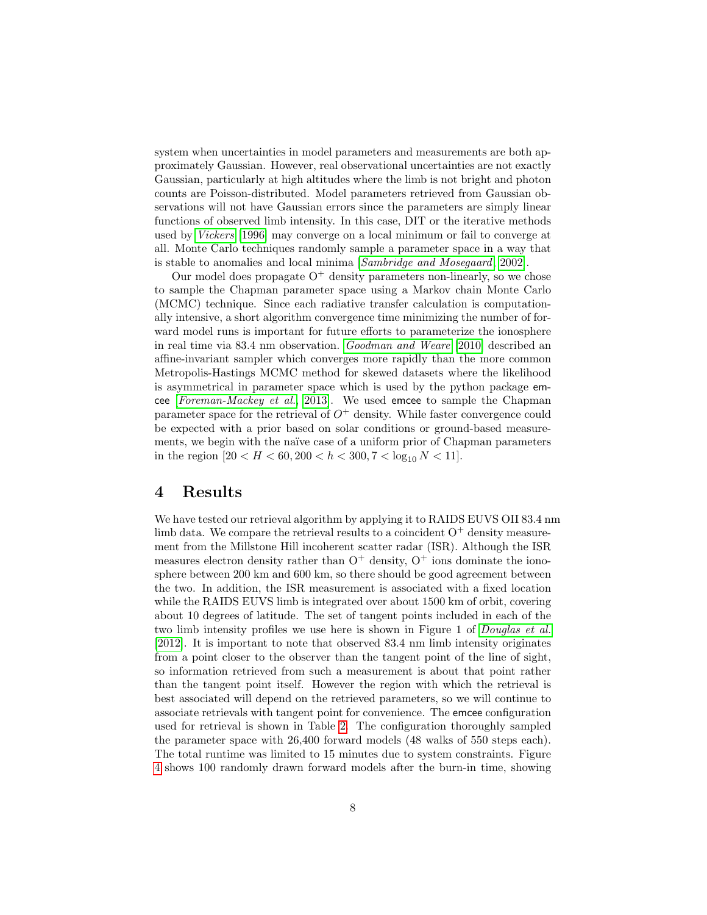system when uncertainties in model parameters and measurements are both approximately Gaussian. However, real observational uncertainties are not exactly Gaussian, particularly at high altitudes where the limb is not bright and photon counts are Poisson-distributed. Model parameters retrieved from Gaussian observations will not have Gaussian errors since the parameters are simply linear functions of observed limb intensity. In this case, DIT or the iterative methods used by [Vickers](#page-13-1) [\[1996\]](#page-13-1) may converge on a local minimum or fail to converge at all. Monte Carlo techniques randomly sample a parameter space in a way that is stable to anomalies and local minima [[Sambridge and Mosegaard](#page-12-6), [2002\]](#page-12-6).

Our model does propagate  $O^+$  density parameters non-linearly, so we chose to sample the Chapman parameter space using a Markov chain Monte Carlo (MCMC) technique. Since each radiative transfer calculation is computationally intensive, a short algorithm convergence time minimizing the number of forward model runs is important for future efforts to parameterize the ionosphere in real time via 83.4 nm observation. [Goodman and Weare](#page-12-7) [\[2010\]](#page-12-7) described an affine-invariant sampler which converges more rapidly than the more common Metropolis-Hastings MCMC method for skewed datasets where the likelihood is asymmetrical in parameter space which is used by the python package emcee [[Foreman-Mackey et al.](#page-12-8), [2013\]](#page-12-8). We used emcee to sample the Chapman parameter space for the retrieval of  $O^+$  density. While faster convergence could be expected with a prior based on solar conditions or ground-based measurements, we begin with the naïve case of a uniform prior of Chapman parameters in the region  $[20 < H < 60, 200 < h < 300, 7 < \log_{10} N < 11].$ 

# 4 Results

We have tested our retrieval algorithm by applying it to RAIDS EUVS OII 83.4 nm limb data. We compare the retrieval results to a coincident  $O^+$  density measurement from the Millstone Hill incoherent scatter radar (ISR). Although the ISR measures electron density rather than  $O^+$  density,  $O^+$  ions dominate the ionosphere between 200 km and 600 km, so there should be good agreement between the two. In addition, the ISR measurement is associated with a fixed location while the RAIDS EUVS limb is integrated over about 1500 km of orbit, covering about 10 degrees of latitude. The set of tangent points included in each of the two limb intensity profiles we use here is shown in Figure 1 of [Douglas et al.](#page-11-0) [\[2012\]](#page-11-0). It is important to note that observed 83.4 nm limb intensity originates from a point closer to the observer than the tangent point of the line of sight, so information retrieved from such a measurement is about that point rather than the tangent point itself. However the region with which the retrieval is best associated will depend on the retrieved parameters, so we will continue to associate retrievals with tangent point for convenience. The emcee configuration used for retrieval is shown in Table [2.](#page-16-0) The configuration thoroughly sampled the parameter space with 26,400 forward models (48 walks of 550 steps each). The total runtime was limited to 15 minutes due to system constraints. Figure [4](#page-16-1) shows 100 randomly drawn forward models after the burn-in time, showing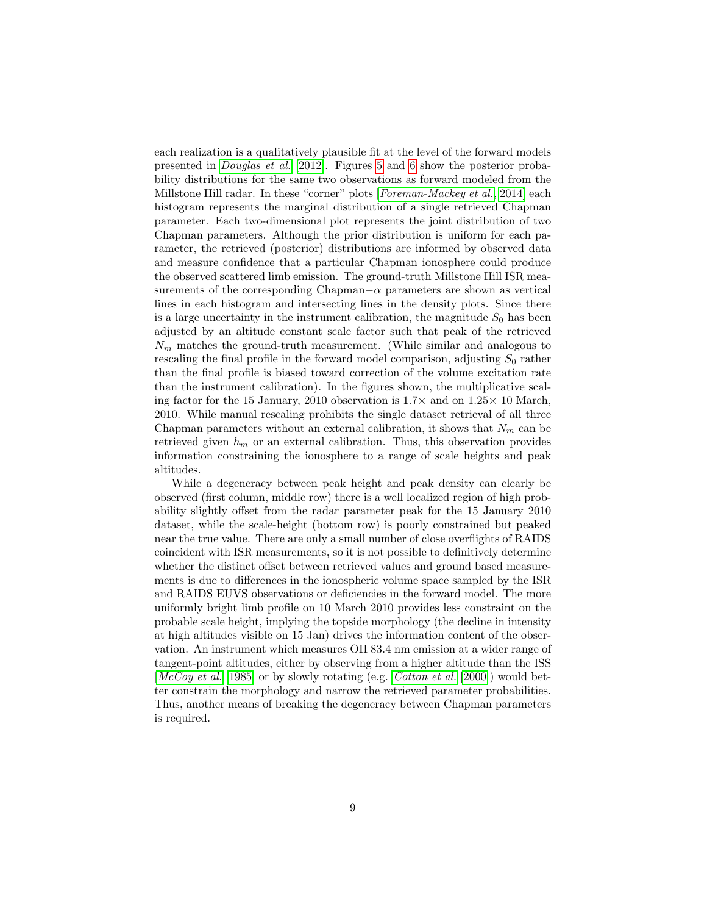each realization is a qualitatively plausible fit at the level of the forward models presented in [Douglas et al.](#page-11-0) [\[2012\]](#page-11-0). Figures [5](#page-17-0) and [6](#page-18-0) show the posterior probability distributions for the same two observations as forward modeled from the Millstone Hill radar. In these "corner" plots [[Foreman-Mackey et al.](#page-12-9), [2014\]](#page-12-9) each histogram represents the marginal distribution of a single retrieved Chapman parameter. Each two-dimensional plot represents the joint distribution of two Chapman parameters. Although the prior distribution is uniform for each parameter, the retrieved (posterior) distributions are informed by observed data and measure confidence that a particular Chapman ionosphere could produce the observed scattered limb emission. The ground-truth Millstone Hill ISR measurements of the corresponding Chapman $-\alpha$  parameters are shown as vertical lines in each histogram and intersecting lines in the density plots. Since there is a large uncertainty in the instrument calibration, the magnitude  $S_0$  has been adjusted by an altitude constant scale factor such that peak of the retrieved  $N_m$  matches the ground-truth measurement. (While similar and analogous to rescaling the final profile in the forward model comparison, adjusting  $S_0$  rather than the final profile is biased toward correction of the volume excitation rate than the instrument calibration). In the figures shown, the multiplicative scaling factor for the 15 January, 2010 observation is  $1.7\times$  and on  $1.25\times$  10 March, 2010. While manual rescaling prohibits the single dataset retrieval of all three Chapman parameters without an external calibration, it shows that  $N_m$  can be retrieved given  $h_m$  or an external calibration. Thus, this observation provides information constraining the ionosphere to a range of scale heights and peak altitudes.

While a degeneracy between peak height and peak density can clearly be observed (first column, middle row) there is a well localized region of high probability slightly offset from the radar parameter peak for the 15 January 2010 dataset, while the scale-height (bottom row) is poorly constrained but peaked near the true value. There are only a small number of close overflights of RAIDS coincident with ISR measurements, so it is not possible to definitively determine whether the distinct offset between retrieved values and ground based measurements is due to differences in the ionospheric volume space sampled by the ISR and RAIDS EUVS observations or deficiencies in the forward model. The more uniformly bright limb profile on 10 March 2010 provides less constraint on the probable scale height, implying the topside morphology (the decline in intensity at high altitudes visible on 15 Jan) drives the information content of the observation. An instrument which measures OII 83.4 nm emission at a wider range of tangent-point altitudes, either by observing from a higher altitude than the ISS [[McCoy et al.](#page-12-1), [1985\]](#page-12-1) or by slowly rotating (e.g. [Cotton et al.](#page-11-5) [\[2000\]](#page-11-5)) would better constrain the morphology and narrow the retrieved parameter probabilities. Thus, another means of breaking the degeneracy between Chapman parameters is required.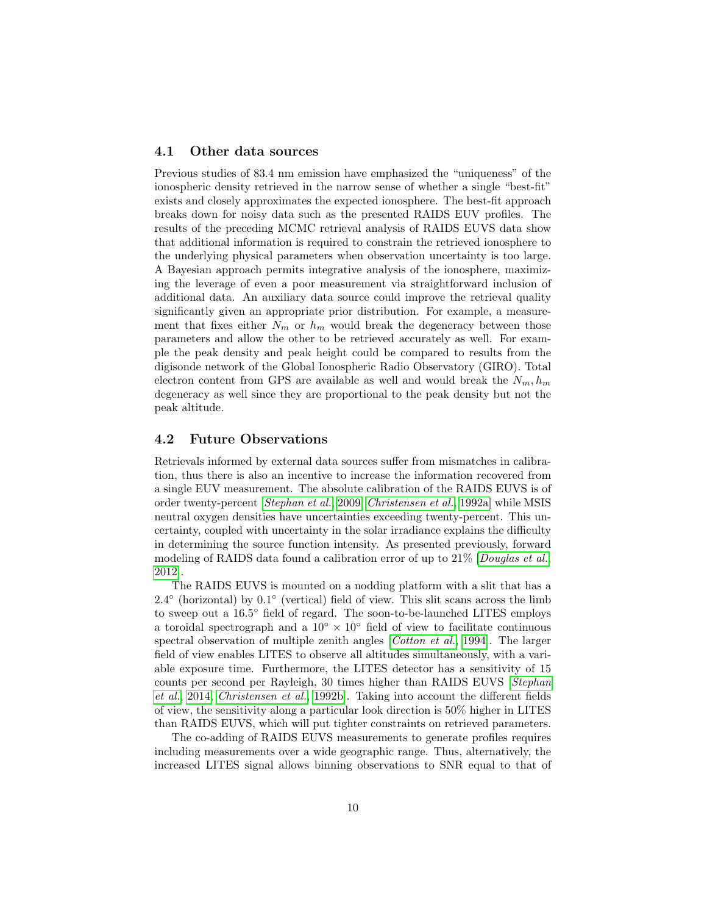#### 4.1 Other data sources

Previous studies of 83.4 nm emission have emphasized the "uniqueness" of the ionospheric density retrieved in the narrow sense of whether a single "best-fit" exists and closely approximates the expected ionosphere. The best-fit approach breaks down for noisy data such as the presented RAIDS EUV profiles. The results of the preceding MCMC retrieval analysis of RAIDS EUVS data show that additional information is required to constrain the retrieved ionosphere to the underlying physical parameters when observation uncertainty is too large. A Bayesian approach permits integrative analysis of the ionosphere, maximizing the leverage of even a poor measurement via straightforward inclusion of additional data. An auxiliary data source could improve the retrieval quality significantly given an appropriate prior distribution. For example, a measurement that fixes either  $N_m$  or  $h_m$  would break the degeneracy between those parameters and allow the other to be retrieved accurately as well. For example the peak density and peak height could be compared to results from the digisonde network of the Global Ionospheric Radio Observatory (GIRO). Total electron content from GPS are available as well and would break the  $N_m$ ,  $h_m$ degeneracy as well since they are proportional to the peak density but not the peak altitude.

#### 4.2 Future Observations

Retrievals informed by external data sources suffer from mismatches in calibration, thus there is also an incentive to increase the information recovered from a single EUV measurement. The absolute calibration of the RAIDS EUVS is of order twenty-percent [[Stephan et al.](#page-12-10), [2009,](#page-12-10) [Christensen et al.](#page-11-6), [1992a\]](#page-11-6) while MSIS neutral oxygen densities have uncertainties exceeding twenty-percent. This uncertainty, coupled with uncertainty in the solar irradiance explains the difficulty in determining the source function intensity. As presented previously, forward modeling of RAIDS data found a calibration error of up to 21% [[Douglas et al.](#page-11-0), [2012\]](#page-11-0).

The RAIDS EUVS is mounted on a nodding platform with a slit that has a  $2.4^{\circ}$  (horizontal) by  $0.1^{\circ}$  (vertical) field of view. This slit scans across the limb to sweep out a 16.5 ◦ field of regard. The soon-to-be-launched LITES employs a toroidal spectrograph and a  $10° \times 10°$  field of view to facilitate continuous spectral observation of multiple zenith angles [*[Cotton et al.](#page-11-7)*, [1994\]](#page-11-7). The larger field of view enables LITES to observe all altitudes simultaneously, with a variable exposure time. Furthermore, the LITES detector has a sensitivity of 15 counts per second per Rayleigh, 30 times higher than RAIDS EUVS [[Stephan](#page-13-0) [et al.](#page-13-0), [2014,](#page-13-0) [Christensen et al.](#page-11-8), [1992b\]](#page-11-8). Taking into account the different fields of view, the sensitivity along a particular look direction is 50% higher in LITES than RAIDS EUVS, which will put tighter constraints on retrieved parameters.

The co-adding of RAIDS EUVS measurements to generate profiles requires including measurements over a wide geographic range. Thus, alternatively, the increased LITES signal allows binning observations to SNR equal to that of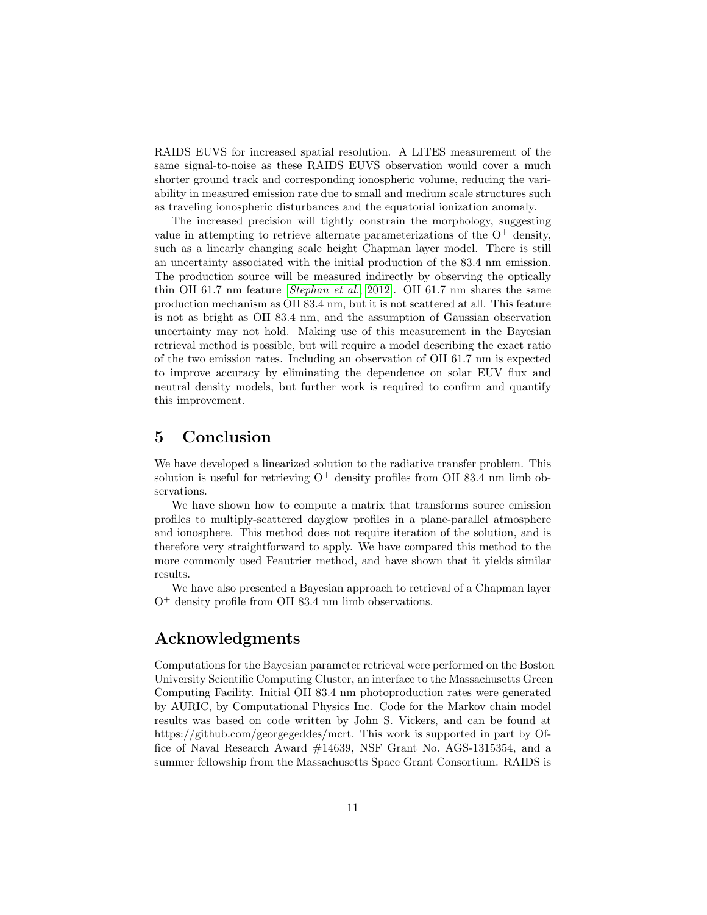RAIDS EUVS for increased spatial resolution. A LITES measurement of the same signal-to-noise as these RAIDS EUVS observation would cover a much shorter ground track and corresponding ionospheric volume, reducing the variability in measured emission rate due to small and medium scale structures such as traveling ionospheric disturbances and the equatorial ionization anomaly.

The increased precision will tightly constrain the morphology, suggesting value in attempting to retrieve alternate parameterizations of the  $O^+$  density, such as a linearly changing scale height Chapman layer model. There is still an uncertainty associated with the initial production of the 83.4 nm emission. The production source will be measured indirectly by observing the optically thin OII 61.7 nm feature [[Stephan et al.](#page-12-11), [2012\]](#page-12-11). OII 61.7 nm shares the same production mechanism as OII 83.4 nm, but it is not scattered at all. This feature is not as bright as OII 83.4 nm, and the assumption of Gaussian observation uncertainty may not hold. Making use of this measurement in the Bayesian retrieval method is possible, but will require a model describing the exact ratio of the two emission rates. Including an observation of OII 61.7 nm is expected to improve accuracy by eliminating the dependence on solar EUV flux and neutral density models, but further work is required to confirm and quantify this improvement.

# 5 Conclusion

We have developed a linearized solution to the radiative transfer problem. This solution is useful for retrieving  $O^+$  density profiles from OII 83.4 nm limb observations.

We have shown how to compute a matrix that transforms source emission profiles to multiply-scattered dayglow profiles in a plane-parallel atmosphere and ionosphere. This method does not require iteration of the solution, and is therefore very straightforward to apply. We have compared this method to the more commonly used Feautrier method, and have shown that it yields similar results.

We have also presented a Bayesian approach to retrieval of a Chapman layer  $O^+$  density profile from OII 83.4 nm limb observations.

## Acknowledgments

Computations for the Bayesian parameter retrieval were performed on the Boston University Scientific Computing Cluster, an interface to the Massachusetts Green Computing Facility. Initial OII 83.4 nm photoproduction rates were generated by AURIC, by Computational Physics Inc. Code for the Markov chain model results was based on code written by John S. Vickers, and can be found at https://github.com/georgegeddes/mcrt. This work is supported in part by Office of Naval Research Award #14639, NSF Grant No. AGS-1315354, and a summer fellowship from the Massachusetts Space Grant Consortium. RAIDS is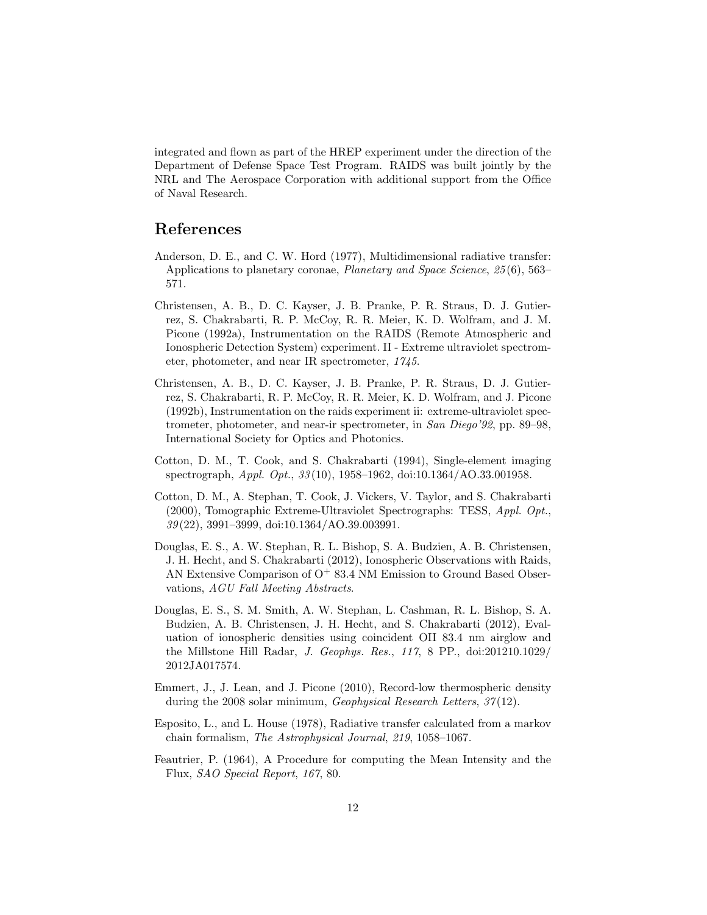integrated and flown as part of the HREP experiment under the direction of the Department of Defense Space Test Program. RAIDS was built jointly by the NRL and The Aerospace Corporation with additional support from the Office of Naval Research.

# References

- <span id="page-11-3"></span>Anderson, D. E., and C. W. Hord (1977), Multidimensional radiative transfer: Applications to planetary coronae, Planetary and Space Science, 25 (6), 563– 571.
- <span id="page-11-6"></span>Christensen, A. B., D. C. Kayser, J. B. Pranke, P. R. Straus, D. J. Gutierrez, S. Chakrabarti, R. P. McCoy, R. R. Meier, K. D. Wolfram, and J. M. Picone (1992a), Instrumentation on the RAIDS (Remote Atmospheric and Ionospheric Detection System) experiment. II - Extreme ultraviolet spectrometer, photometer, and near IR spectrometer, 1745.
- <span id="page-11-8"></span>Christensen, A. B., D. C. Kayser, J. B. Pranke, P. R. Straus, D. J. Gutierrez, S. Chakrabarti, R. P. McCoy, R. R. Meier, K. D. Wolfram, and J. Picone (1992b), Instrumentation on the raids experiment ii: extreme-ultraviolet spectrometer, photometer, and near-ir spectrometer, in San Diego'92, pp. 89–98, International Society for Optics and Photonics.
- <span id="page-11-7"></span>Cotton, D. M., T. Cook, and S. Chakrabarti (1994), Single-element imaging spectrograph, Appl. Opt., 33 (10), 1958–1962, doi:10.1364/AO.33.001958.
- <span id="page-11-5"></span>Cotton, D. M., A. Stephan, T. Cook, J. Vickers, V. Taylor, and S. Chakrabarti (2000), Tomographic Extreme-Ultraviolet Spectrographs: TESS, Appl. Opt., 39 (22), 3991–3999, doi:10.1364/AO.39.003991.
- <span id="page-11-0"></span>Douglas, E. S., A. W. Stephan, R. L. Bishop, S. A. Budzien, A. B. Christensen, J. H. Hecht, and S. Chakrabarti (2012), Ionospheric Observations with Raids, AN Extensive Comparison of  $O<sup>+</sup> 83.4$  NM Emission to Ground Based Observations, AGU Fall Meeting Abstracts.
- <span id="page-11-9"></span>Douglas, E. S., S. M. Smith, A. W. Stephan, L. Cashman, R. L. Bishop, S. A. Budzien, A. B. Christensen, J. H. Hecht, and S. Chakrabarti (2012), Evaluation of ionospheric densities using coincident OII 83.4 nm airglow and the Millstone Hill Radar, J. Geophys. Res., 117, 8 PP., doi:201210.1029/ 2012JA017574.
- <span id="page-11-4"></span>Emmert, J., J. Lean, and J. Picone (2010), Record-low thermospheric density during the 2008 solar minimum, *Geophysical Research Letters*, 37(12).
- <span id="page-11-2"></span>Esposito, L., and L. House (1978), Radiative transfer calculated from a markov chain formalism, The Astrophysical Journal, 219, 1058–1067.
- <span id="page-11-1"></span>Feautrier, P. (1964), A Procedure for computing the Mean Intensity and the Flux, SAO Special Report, 167, 80.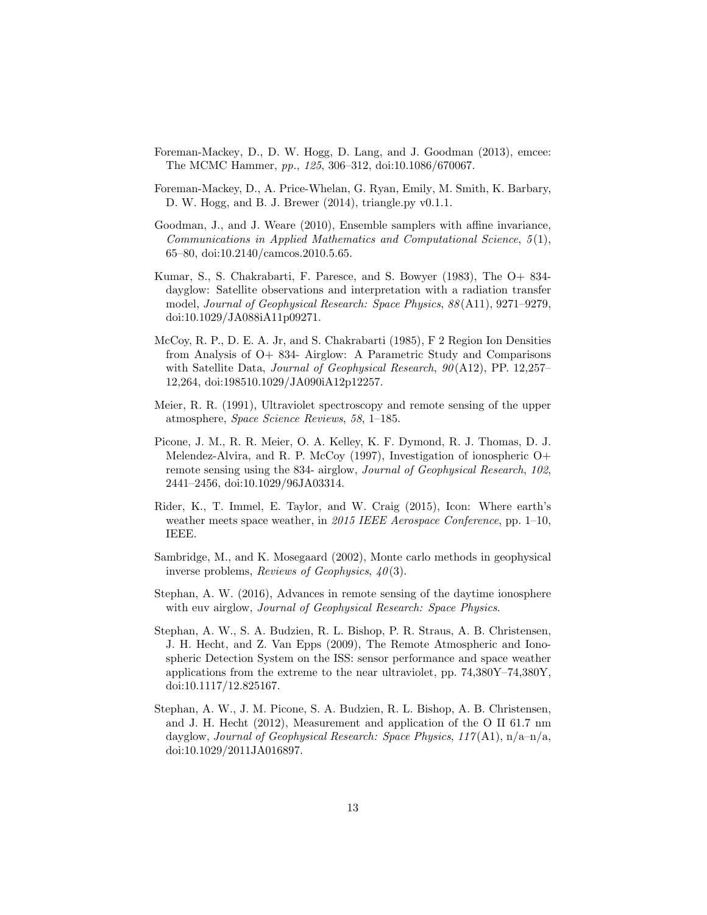- <span id="page-12-8"></span>Foreman-Mackey, D., D. W. Hogg, D. Lang, and J. Goodman (2013), emcee: The MCMC Hammer, pp., 125, 306–312, doi:10.1086/670067.
- <span id="page-12-9"></span>Foreman-Mackey, D., A. Price-Whelan, G. Ryan, Emily, M. Smith, K. Barbary, D. W. Hogg, and B. J. Brewer (2014), triangle.py v0.1.1.
- <span id="page-12-7"></span>Goodman, J., and J. Weare (2010), Ensemble samplers with affine invariance, Communications in Applied Mathematics and Computational Science,  $5(1)$ , 65–80, doi:10.2140/camcos.2010.5.65.
- <span id="page-12-0"></span>Kumar, S., S. Chakrabarti, F. Paresce, and S. Bowyer (1983), The O+ 834 dayglow: Satellite observations and interpretation with a radiation transfer model, Journal of Geophysical Research: Space Physics, 88 (A11), 9271–9279, doi:10.1029/JA088iA11p09271.
- <span id="page-12-1"></span>McCoy, R. P., D. E. A. Jr, and S. Chakrabarti (1985), F 2 Region Ion Densities from Analysis of O+ 834- Airglow: A Parametric Study and Comparisons with Satellite Data, *Journal of Geophysical Research*,  $90(A12)$ , PP. 12,257– 12,264, doi:198510.1029/JA090iA12p12257.
- <span id="page-12-5"></span>Meier, R. R. (1991), Ultraviolet spectroscopy and remote sensing of the upper atmosphere, Space Science Reviews, 58, 1–185.
- <span id="page-12-3"></span>Picone, J. M., R. R. Meier, O. A. Kelley, K. F. Dymond, R. J. Thomas, D. J. Melendez-Alvira, and R. P. McCoy (1997), Investigation of ionospheric O+ remote sensing using the 834- airglow, Journal of Geophysical Research, 102, 2441–2456, doi:10.1029/96JA03314.
- <span id="page-12-4"></span>Rider, K., T. Immel, E. Taylor, and W. Craig (2015), Icon: Where earth's weather meets space weather, in 2015 IEEE Aerospace Conference, pp. 1–10, IEEE.
- <span id="page-12-6"></span>Sambridge, M., and K. Mosegaard (2002), Monte carlo methods in geophysical inverse problems, Reviews of Geophysics,  $40(3)$ .
- <span id="page-12-2"></span>Stephan, A. W. (2016), Advances in remote sensing of the daytime ionosphere with euv airglow, Journal of Geophysical Research: Space Physics.
- <span id="page-12-10"></span>Stephan, A. W., S. A. Budzien, R. L. Bishop, P. R. Straus, A. B. Christensen, J. H. Hecht, and Z. Van Epps (2009), The Remote Atmospheric and Ionospheric Detection System on the ISS: sensor performance and space weather applications from the extreme to the near ultraviolet, pp. 74,380Y–74,380Y, doi:10.1117/12.825167.
- <span id="page-12-11"></span>Stephan, A. W., J. M. Picone, S. A. Budzien, R. L. Bishop, A. B. Christensen, and J. H. Hecht (2012), Measurement and application of the O II 61.7 nm dayglow, Journal of Geophysical Research: Space Physics,  $117(A1)$ ,  $n/a-n/a$ , doi:10.1029/2011JA016897.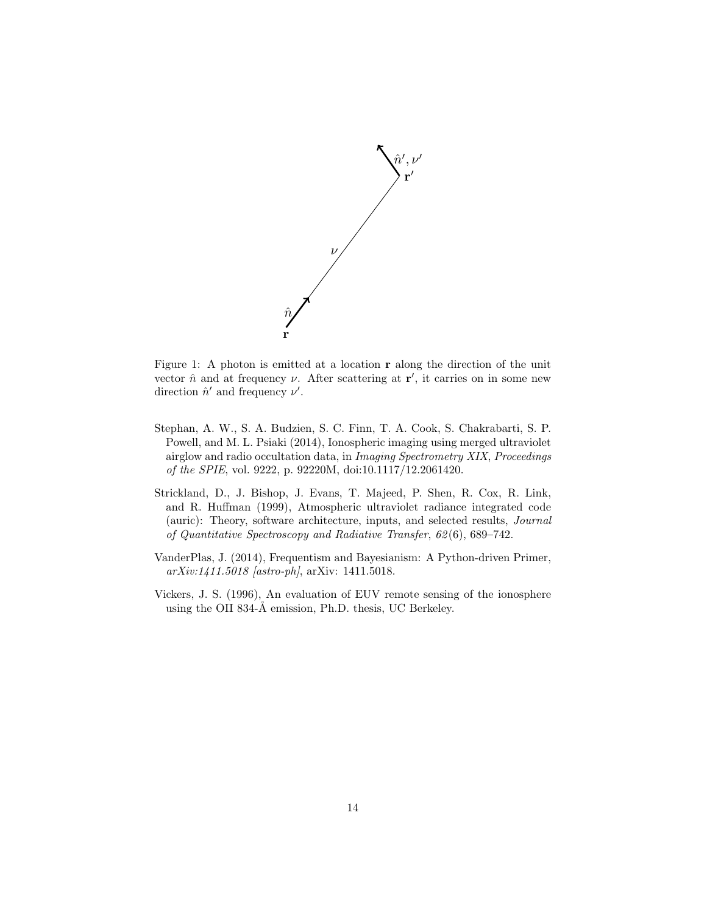

<span id="page-13-3"></span>Figure 1: A photon is emitted at a location r along the direction of the unit vector  $\hat{n}$  and at frequency  $\nu$ . After scattering at  $\mathbf{r}'$ , it carries on in some new direction  $\hat{n}'$  and frequency  $\nu'$ .

- <span id="page-13-0"></span>Stephan, A. W., S. A. Budzien, S. C. Finn, T. A. Cook, S. Chakrabarti, S. P. Powell, and M. L. Psiaki (2014), Ionospheric imaging using merged ultraviolet airglow and radio occultation data, in Imaging Spectrometry XIX, Proceedings of the SPIE, vol. 9222, p. 92220M, doi:10.1117/12.2061420.
- <span id="page-13-2"></span>Strickland, D., J. Bishop, J. Evans, T. Majeed, P. Shen, R. Cox, R. Link, and R. Huffman (1999), Atmospheric ultraviolet radiance integrated code (auric): Theory, software architecture, inputs, and selected results, Journal of Quantitative Spectroscopy and Radiative Transfer, 62 (6), 689–742.
- <span id="page-13-4"></span>VanderPlas, J. (2014), Frequentism and Bayesianism: A Python-driven Primer, arXiv:1411.5018 [astro-ph], arXiv: 1411.5018.
- <span id="page-13-1"></span>Vickers, J. S. (1996), An evaluation of EUV remote sensing of the ionosphere using the OII 834- $\AA$  emission, Ph.D. thesis, UC Berkeley.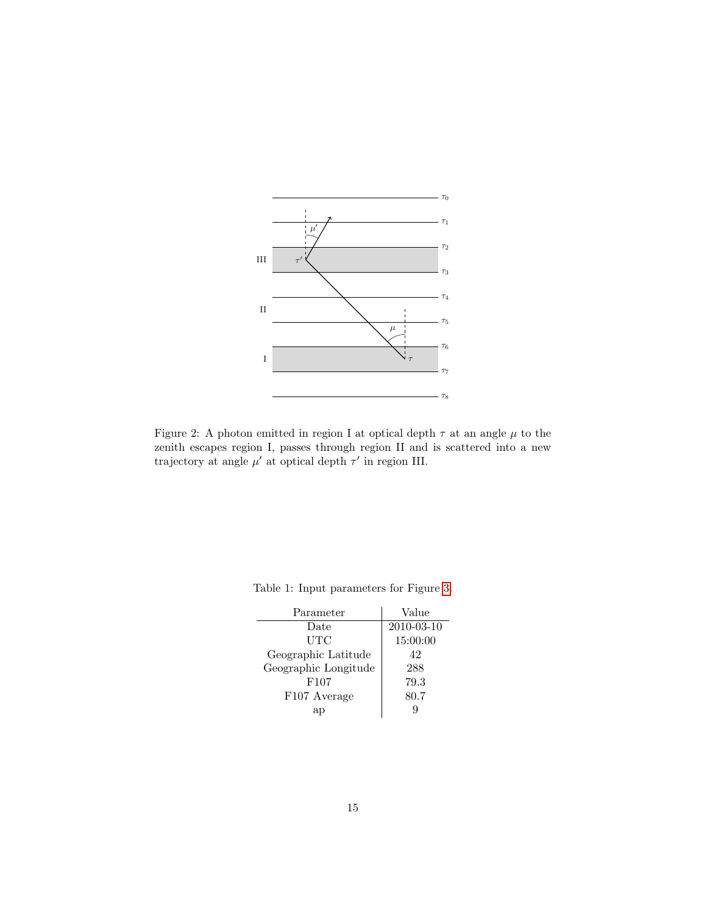

<span id="page-14-0"></span>Figure 2: A photon emitted in region I at optical depth  $\tau$  at an angle  $\mu$  to the zenith escapes region I, passes through region II and is scattered into a new trajectory at angle  $\mu'$  at optical depth  $\tau'$  in region III.

| Parameter            | Value      |
|----------------------|------------|
| Date                 | 2010-03-10 |
| UTC                  | 15:00:00   |
| Geographic Latitude  | 42         |
| Geographic Longitude | 288        |
| F <sub>107</sub>     | 79.3       |
| F107 Average         | 80.7       |
| ar                   | q          |

<span id="page-14-1"></span>Table 1: Input parameters for Figure [3.](#page-15-0)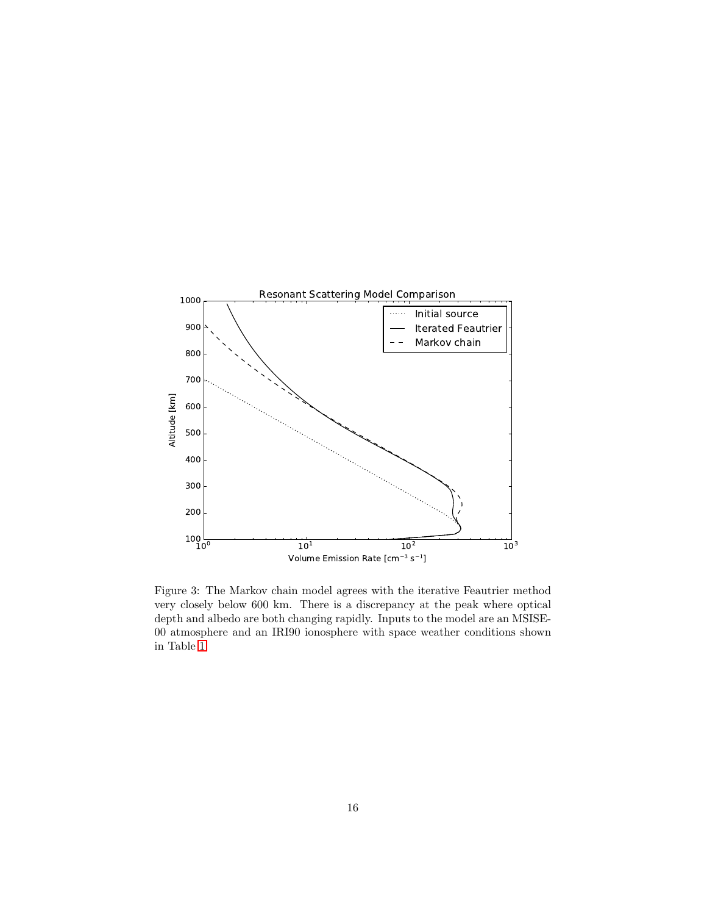

<span id="page-15-0"></span>Figure 3: The Markov chain model agrees with the iterative Feautrier method very closely below 600 km. There is a discrepancy at the peak where optical depth and albedo are both changing rapidly. Inputs to the model are an MSISE-00 atmosphere and an IRI90 ionosphere with space weather conditions shown in Table [1.](#page-14-1)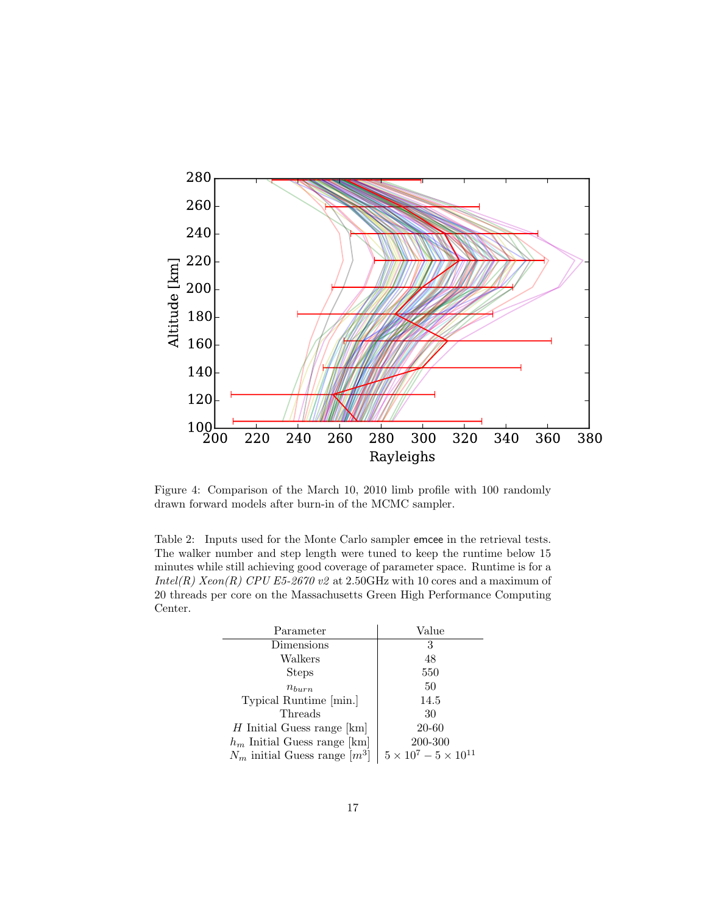

<span id="page-16-1"></span>Figure 4: Comparison of the March 10, 2010 limb profile with 100 randomly drawn forward models after burn-in of the MCMC sampler.

<span id="page-16-0"></span>Table 2: Inputs used for the Monte Carlo sampler emcee in the retrieval tests. The walker number and step length were tuned to keep the runtime below 15 minutes while still achieving good coverage of parameter space. Runtime is for a Intel(R) Xeon(R) CPU E5-2670 v2 at 2.50GHz with 10 cores and a maximum of 20 threads per core on the Massachusetts Green High Performance Computing Center.

| Parameter                         | Value                              |
|-----------------------------------|------------------------------------|
| Dimensions                        | 3                                  |
| Walkers                           | 48                                 |
| <b>Steps</b>                      | 550                                |
| $n_{burn}$                        | 50                                 |
| Typical Runtime [min.]            | 14.5                               |
| Threads                           | 30                                 |
| $H$ Initial Guess range [km]      | 20-60                              |
| $h_m$ Initial Guess range [km]    | 200-300                            |
| $N_m$ initial Guess range $[m^3]$ | $5 \times 10^7 - 5 \times 10^{11}$ |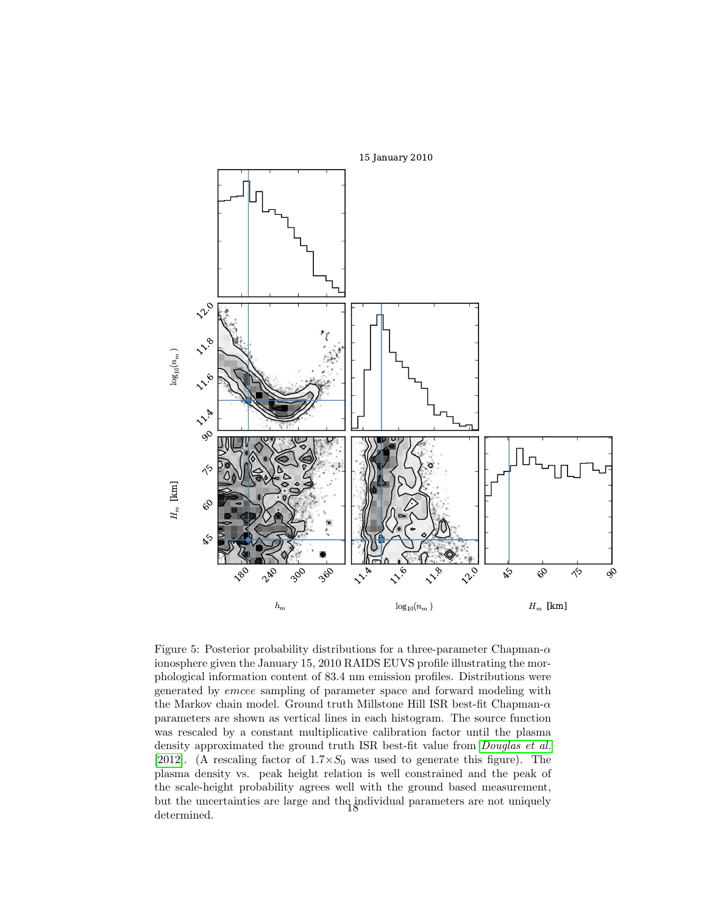

<span id="page-17-0"></span>Figure 5: Posterior probability distributions for a three-parameter Chapman- $\alpha$ ionosphere given the January 15, 2010 RAIDS EUVS profile illustrating the morphological information content of 83.4 nm emission profiles. Distributions were generated by emcee sampling of parameter space and forward modeling with the Markov chain model. Ground truth Millstone Hill ISR best-fit Chapman- $\alpha$ parameters are shown as vertical lines in each histogram. The source function was rescaled by a constant multiplicative calibration factor until the plasma density approximated the ground truth ISR best-fit value from [Douglas et al.](#page-11-9) [\[2012\]](#page-11-9). (A rescaling factor of  $1.7 \times S_0$  was used to generate this figure). The plasma density vs. peak height relation is well constrained and the peak of the scale-height probability agrees well with the ground based measurement, but the uncertainties are large and the individual parameters are not uniquely determined.